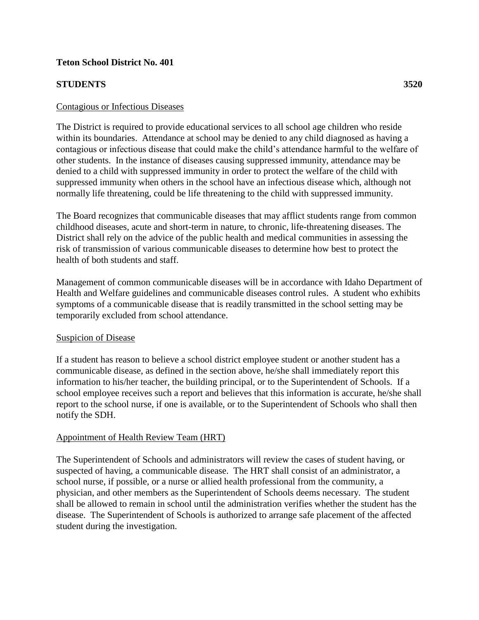### **Teton School District No. 401**

### **STUDENTS 3520**

#### Contagious or Infectious Diseases

The District is required to provide educational services to all school age children who reside within its boundaries. Attendance at school may be denied to any child diagnosed as having a contagious or infectious disease that could make the child's attendance harmful to the welfare of other students. In the instance of diseases causing suppressed immunity, attendance may be denied to a child with suppressed immunity in order to protect the welfare of the child with suppressed immunity when others in the school have an infectious disease which, although not normally life threatening, could be life threatening to the child with suppressed immunity.

The Board recognizes that communicable diseases that may afflict students range from common childhood diseases, acute and short-term in nature, to chronic, life-threatening diseases. The District shall rely on the advice of the public health and medical communities in assessing the risk of transmission of various communicable diseases to determine how best to protect the health of both students and staff.

Management of common communicable diseases will be in accordance with Idaho Department of Health and Welfare guidelines and communicable diseases control rules. A student who exhibits symptoms of a communicable disease that is readily transmitted in the school setting may be temporarily excluded from school attendance.

#### Suspicion of Disease

If a student has reason to believe a school district employee student or another student has a communicable disease, as defined in the section above, he/she shall immediately report this information to his/her teacher, the building principal, or to the Superintendent of Schools. If a school employee receives such a report and believes that this information is accurate, he/she shall report to the school nurse, if one is available, or to the Superintendent of Schools who shall then notify the SDH.

#### Appointment of Health Review Team (HRT)

The Superintendent of Schools and administrators will review the cases of student having, or suspected of having, a communicable disease. The HRT shall consist of an administrator, a school nurse, if possible, or a nurse or allied health professional from the community, a physician, and other members as the Superintendent of Schools deems necessary. The student shall be allowed to remain in school until the administration verifies whether the student has the disease. The Superintendent of Schools is authorized to arrange safe placement of the affected student during the investigation.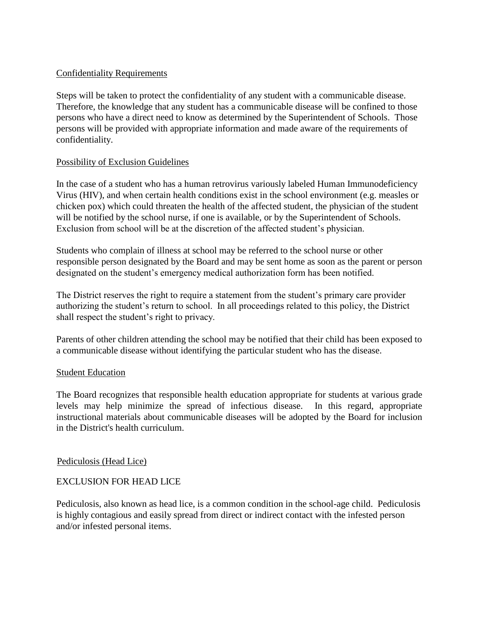### Confidentiality Requirements

Steps will be taken to protect the confidentiality of any student with a communicable disease. Therefore, the knowledge that any student has a communicable disease will be confined to those persons who have a direct need to know as determined by the Superintendent of Schools. Those persons will be provided with appropriate information and made aware of the requirements of confidentiality.

### Possibility of Exclusion Guidelines

In the case of a student who has a human retrovirus variously labeled Human Immunodeficiency Virus (HIV), and when certain health conditions exist in the school environment (e.g. measles or chicken pox) which could threaten the health of the affected student, the physician of the student will be notified by the school nurse, if one is available, or by the Superintendent of Schools. Exclusion from school will be at the discretion of the affected student's physician.

Students who complain of illness at school may be referred to the school nurse or other responsible person designated by the Board and may be sent home as soon as the parent or person designated on the student's emergency medical authorization form has been notified.

The District reserves the right to require a statement from the student's primary care provider authorizing the student's return to school. In all proceedings related to this policy, the District shall respect the student's right to privacy.

Parents of other children attending the school may be notified that their child has been exposed to a communicable disease without identifying the particular student who has the disease.

#### Student Education

The Board recognizes that responsible health education appropriate for students at various grade levels may help minimize the spread of infectious disease. In this regard, appropriate instructional materials about communicable diseases will be adopted by the Board for inclusion in the District's health curriculum.

#### Pediculosis (Head Lice)

## EXCLUSION FOR HEAD LICE

Pediculosis, also known as head lice, is a common condition in the school-age child. Pediculosis is highly contagious and easily spread from direct or indirect contact with the infested person and/or infested personal items.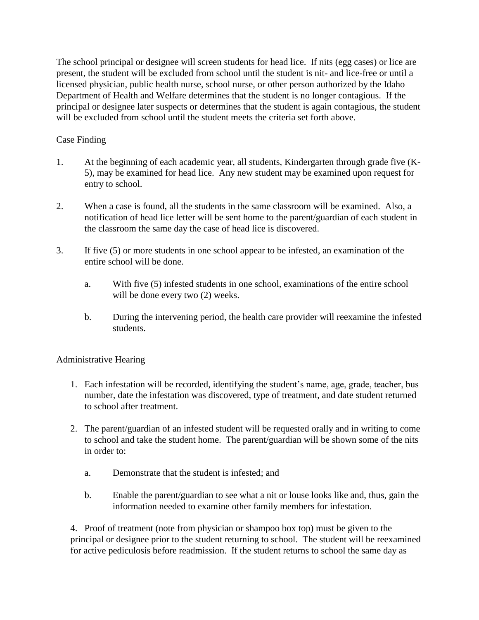The school principal or designee will screen students for head lice. If nits (egg cases) or lice are present, the student will be excluded from school until the student is nit- and lice-free or until a licensed physician, public health nurse, school nurse, or other person authorized by the Idaho Department of Health and Welfare determines that the student is no longer contagious. If the principal or designee later suspects or determines that the student is again contagious, the student will be excluded from school until the student meets the criteria set forth above.

## Case Finding

- 1. At the beginning of each academic year, all students, Kindergarten through grade five (K-5), may be examined for head lice. Any new student may be examined upon request for entry to school.
- 2. When a case is found, all the students in the same classroom will be examined. Also, a notification of head lice letter will be sent home to the parent/guardian of each student in the classroom the same day the case of head lice is discovered.
- 3. If five (5) or more students in one school appear to be infested, an examination of the entire school will be done.
	- a. With five (5) infested students in one school, examinations of the entire school will be done every two  $(2)$  weeks.
	- b. During the intervening period, the health care provider will reexamine the infested students.

## Administrative Hearing

- 1. Each infestation will be recorded, identifying the student's name, age, grade, teacher, bus number, date the infestation was discovered, type of treatment, and date student returned to school after treatment.
- 2. The parent/guardian of an infested student will be requested orally and in writing to come to school and take the student home. The parent/guardian will be shown some of the nits in order to:
	- a. Demonstrate that the student is infested; and
	- b. Enable the parent/guardian to see what a nit or louse looks like and, thus, gain the information needed to examine other family members for infestation.

4. Proof of treatment (note from physician or shampoo box top) must be given to the principal or designee prior to the student returning to school. The student will be reexamined for active pediculosis before readmission. If the student returns to school the same day as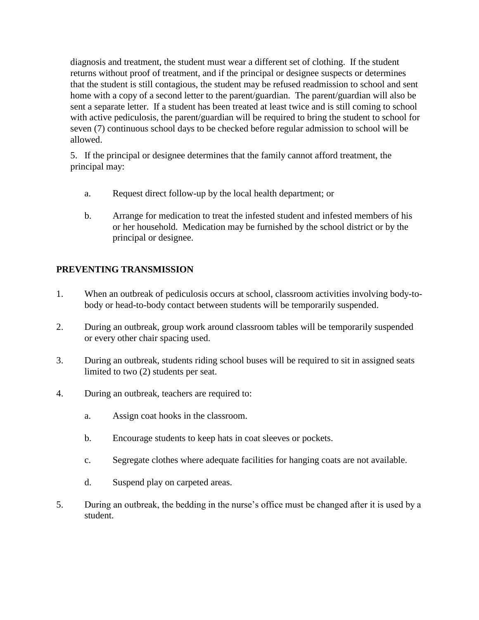diagnosis and treatment, the student must wear a different set of clothing. If the student returns without proof of treatment, and if the principal or designee suspects or determines that the student is still contagious, the student may be refused readmission to school and sent home with a copy of a second letter to the parent/guardian. The parent/guardian will also be sent a separate letter. If a student has been treated at least twice and is still coming to school with active pediculosis, the parent/guardian will be required to bring the student to school for seven (7) continuous school days to be checked before regular admission to school will be allowed.

5. If the principal or designee determines that the family cannot afford treatment, the principal may:

- a. Request direct follow-up by the local health department; or
- b. Arrange for medication to treat the infested student and infested members of his or her household. Medication may be furnished by the school district or by the principal or designee.

# **PREVENTING TRANSMISSION**

- 1. When an outbreak of pediculosis occurs at school, classroom activities involving body-tobody or head-to-body contact between students will be temporarily suspended.
- 2. During an outbreak, group work around classroom tables will be temporarily suspended or every other chair spacing used.
- 3. During an outbreak, students riding school buses will be required to sit in assigned seats limited to two (2) students per seat.
- 4. During an outbreak, teachers are required to:
	- a. Assign coat hooks in the classroom.
	- b. Encourage students to keep hats in coat sleeves or pockets.
	- c. Segregate clothes where adequate facilities for hanging coats are not available.
	- d. Suspend play on carpeted areas.
- 5. During an outbreak, the bedding in the nurse's office must be changed after it is used by a student.